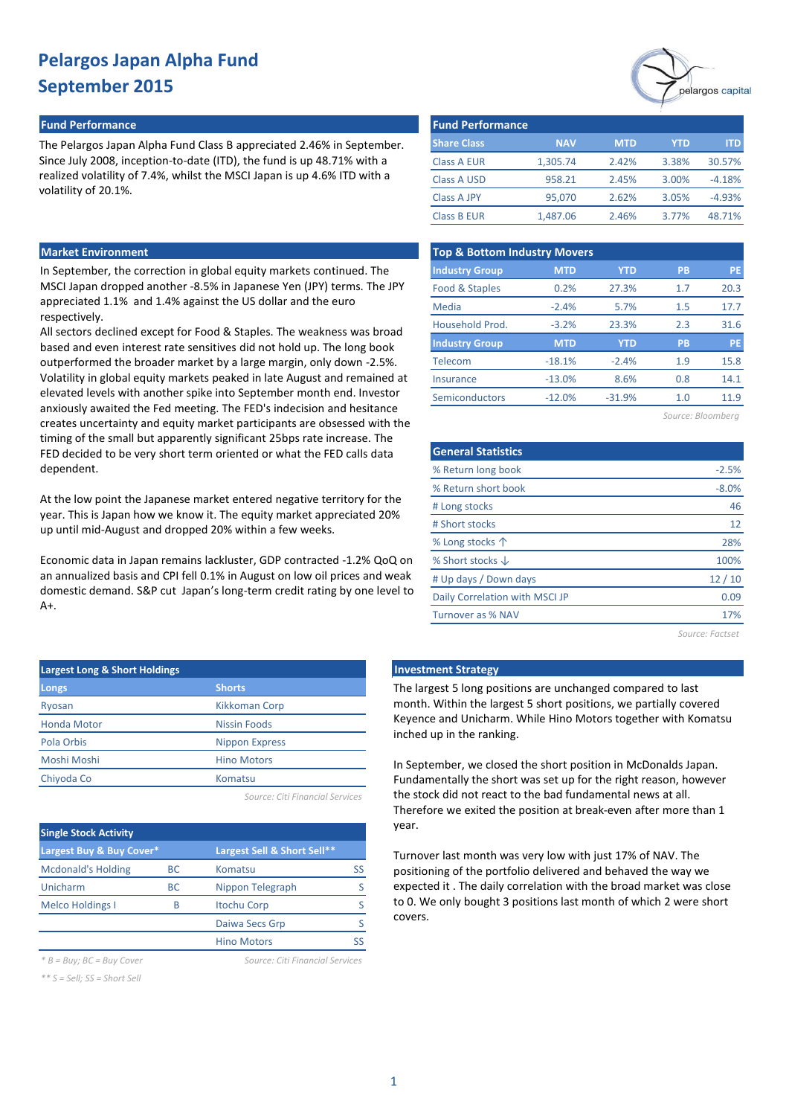## **Fund Performance Fund Performance**

The Pelargos Japan Alpha Fund Class B appreciated 2.46% in September. Since July 2008, inception-to-date (ITD), the fund is up 48.71% with a realized volatility of 7.4%, whilst the MSCI Japan is up 4.6% ITD with a volatility of 20.1%.

### **Market Environment**

In September, the correction in global equity markets continued. The MSCI Japan dropped another -8.5% in Japanese Yen (JPY) terms. The JPY appreciated 1.1% and 1.4% against the US dollar and the euro respectively.

All sectors declined except for Food & Staples. The weakness was broad based and even interest rate sensitives did not hold up. The long book outperformed the broader market by a large margin, only down -2.5%. Volatility in global equity markets peaked in late August and remained at elevated levels with another spike into September month end. Investor anxiously awaited the Fed meeting. The FED's indecision and hesitance creates uncertainty and equity market participants are obsessed with the timing of the small but apparently significant 25bps rate increase. The FED decided to be very short term oriented or what the FED calls data dependent.

At the low point the Japanese market entered negative territory for the year. This is Japan how we know it. The equity market appreciated 20% up until mid-August and dropped 20% within a few weeks.

Economic data in Japan remains lackluster, GDP contracted -1.2% QoQ on an annualized basis and CPI fell 0.1% in August on low oil prices and weak domestic demand. S&P cut Japan's long-term credit rating by one level to  $A+$ 

| <b>Largest Long &amp; Short Holdings</b> |                       |  |  |  |  |  |
|------------------------------------------|-----------------------|--|--|--|--|--|
| Longs                                    | <b>Shorts</b>         |  |  |  |  |  |
| Ryosan                                   | Kikkoman Corp         |  |  |  |  |  |
| <b>Honda Motor</b>                       | Nissin Foods          |  |  |  |  |  |
| Pola Orbis                               | <b>Nippon Express</b> |  |  |  |  |  |
| Moshi Moshi                              | <b>Hino Motors</b>    |  |  |  |  |  |
| Chiyoda Co                               | Komatsu               |  |  |  |  |  |
|                                          |                       |  |  |  |  |  |

*Source: Citi Financial Services*

| <b>Single Stock Activity</b> |           |                             |    |
|------------------------------|-----------|-----------------------------|----|
| Largest Buy & Buy Cover*     |           | Largest Sell & Short Sell** |    |
| <b>Mcdonald's Holding</b>    | <b>BC</b> | Komatsu                     | SS |
| Unicharm                     | <b>BC</b> | Nippon Telegraph            |    |
| <b>Melco Holdings I</b>      | R         | <b>Itochu Corp</b>          |    |
|                              |           | Daiwa Secs Grp              |    |
|                              |           | <b>Hino Motors</b>          |    |

*\* B = Buy; BC = Buy Cover Source: Citi Financial Services*

*\*\* S = Sell; SS = Short Sell*



| <b>Fund Performance</b> |            |            |       |          |
|-------------------------|------------|------------|-------|----------|
| <b>Share Class</b>      | <b>NAV</b> | <b>MTD</b> | YTD   | ITD.     |
| <b>Class A EUR</b>      | 1,305.74   | 2.42%      | 3.38% | 30.57%   |
| <b>Class A USD</b>      | 958.21     | 2.45%      | 3.00% | $-4.18%$ |
| <b>Class A JPY</b>      | 95,070     | 2.62%      | 3.05% | $-4.93%$ |
| <b>Class B EUR</b>      | 1,487.06   | 2.46%      | 3.77% | 48.71%   |

| <b>Top &amp; Bottom Industry Movers</b> |            |            |           |           |  |  |  |  |
|-----------------------------------------|------------|------------|-----------|-----------|--|--|--|--|
| <b>Industry Group</b>                   | <b>MTD</b> | <b>YTD</b> | <b>PB</b> | <b>PE</b> |  |  |  |  |
| Food & Staples                          | 0.2%       | 27.3%      | 1.7       | 20.3      |  |  |  |  |
| Media                                   | $-2.4%$    | 5.7%       | 1.5       | 17.7      |  |  |  |  |
| Household Prod.                         | $-3.2%$    | 23.3%      | 2.3       | 31.6      |  |  |  |  |
| <b>Industry Group</b>                   | <b>MTD</b> | <b>YTD</b> | PB        | PE        |  |  |  |  |
| Telecom                                 | $-18.1%$   | $-2.4%$    | 1.9       | 15.8      |  |  |  |  |
| Insurance                               | $-13.0%$   | 8.6%       | 0.8       | 14.1      |  |  |  |  |
| Semiconductors                          | $-12.0%$   | $-31.9%$   | 1.0       | 11.9      |  |  |  |  |
|                                         |            |            |           |           |  |  |  |  |

*Source: Bloomberg*

| <b>General Statistics</b>      |         |
|--------------------------------|---------|
| % Return long book             | $-2.5%$ |
| % Return short book            | $-8.0%$ |
| # Long stocks                  | 46      |
| # Short stocks                 | 12      |
| % Long stocks $\uparrow$       | 28%     |
| % Short stocks $\downarrow$    | 100%    |
| # Up days / Down days          | 12/10   |
| Daily Correlation with MSCI JP | 0.09    |
| <b>Turnover as % NAV</b>       | 17%     |
|                                |         |

*Source: Factset*

# **Investment Strategy**

The largest 5 long positions are unchanged compared to last month. Within the largest 5 short positions, we partially covered Keyence and Unicharm. While Hino Motors together with Komatsu inched up in the ranking.

In September, we closed the short position in McDonalds Japan. Fundamentally the short was set up for the right reason, however the stock did not react to the bad fundamental news at all. Therefore we exited the position at break-even after more than 1 year.

Turnover last month was very low with just 17% of NAV. The positioning of the portfolio delivered and behaved the way we expected it . The daily correlation with the broad market was close to 0. We only bought 3 positions last month of which 2 were short covers.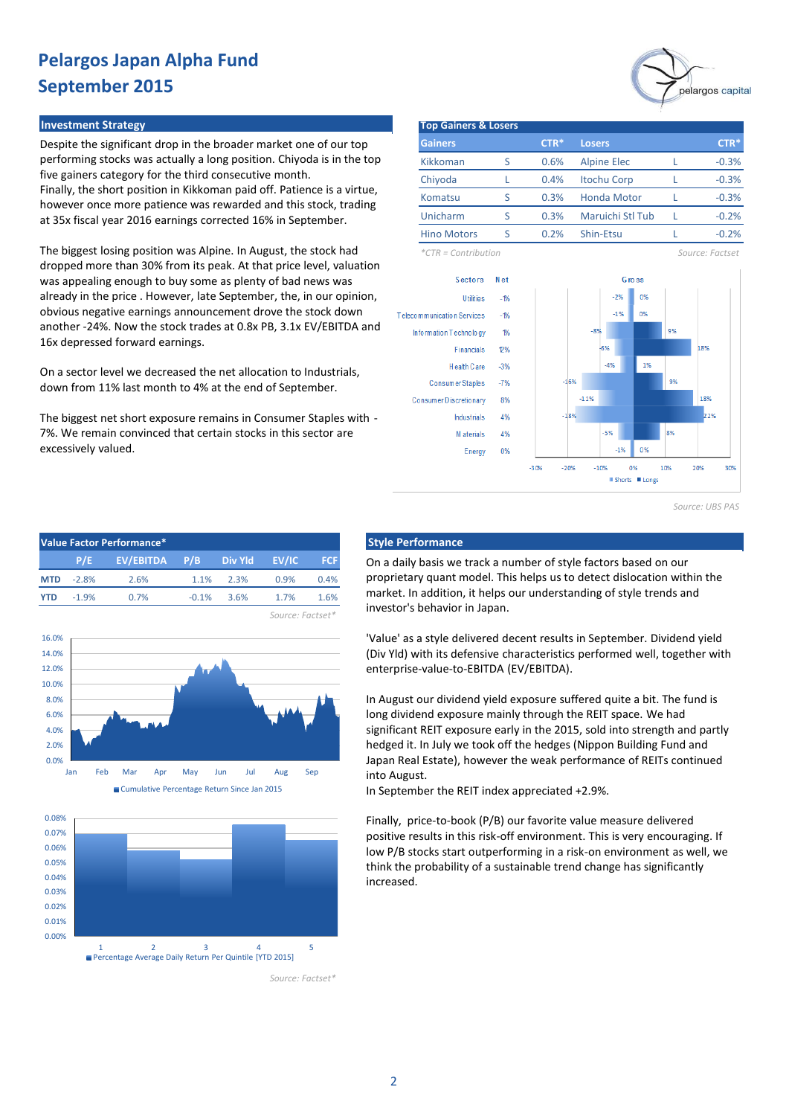#### **Investment Strategy**

Despite the significant drop in the broader market one of our top performing stocks was actually a long position. Chiyoda is in the top five gainers category for the third consecutive month. Finally, the short position in Kikkoman paid off. Patience is a virtue, however once more patience was rewarded and this stock, trading at 35x fiscal year 2016 earnings corrected 16% in September.

The biggest losing position was Alpine. In August, the stock had dropped more than 30% from its peak. At that price level, valuation was appealing enough to buy some as plenty of bad news was already in the price . However, late September, the, in our opinion, obvious negative earnings announcement drove the stock down another -24%. Now the stock trades at 0.8x PB, 3.1x EV/EBITDA and 16x depressed forward earnings.

On a sector level we decreased the net allocation to Industrials, down from 11% last month to 4% at the end of September.

The biggest net short exposure remains in Consumer Staples with - 7%. We remain convinced that certain stocks in this sector are excessively valued.

| <b>Top Gainers &amp; Losers</b> |               |        |                    |              |    |                  |
|---------------------------------|---------------|--------|--------------------|--------------|----|------------------|
| <b>Gainers</b>                  |               | CTR*   | <b>Losers</b>      |              |    | CTR <sup>*</sup> |
| Kikkoman                        | S             | 0.6%   | <b>Alpine Elec</b> |              | L  | $-0.3%$          |
| Chiyoda                         | L             | 0.4%   | <b>Itochu Corp</b> |              | L  | $-0.3%$          |
| Komatsu                         | S             | 0.3%   | <b>Honda Motor</b> |              | L  | $-0.3%$          |
| Unicharm                        | S             | 0.3%   | Maruichi Stl Tub   |              | L  | $-0.2%$          |
| <b>Hino Motors</b>              | S             | 0.2%   | Shin-Etsu          |              | L  | $-0.2%$          |
| $*CTR =$ Contribution           |               |        |                    |              |    | Source: Factset  |
| Sectors                         | Net           |        |                    | <b>Gross</b> |    |                  |
| <b>Utilities</b>                | $-1%$         |        | $-2%$              | 0%           |    |                  |
| Telecommunication Services      | $-1%$         |        | $-1%$              | 0%           |    |                  |
| Information Technology          | $\frac{1}{2}$ |        | $-8%$              |              | 9% |                  |
| <b>Financials</b>               | 2%            |        | $-6%$              |              |    | 18%              |
| Health Care                     | $-3%$         |        | $-4%$              | 1%           |    |                  |
| Consumer Staples                | $-7%$         | $-16%$ |                    |              | 9% |                  |
| Consumer Discretionary          | 8%            |        | $-11%$             |              |    | 18%              |
| <b>Industrials</b>              | 4%            | $-18%$ |                    |              |    | 22%              |
| M aterials                      | 4%            |        | $-5%$              |              | 8% |                  |
|                                 |               |        |                    |              |    |                  |

*Source: UBS PAS*









*Source: Factset\**

On a daily basis we track a number of style factors based on our proprietary quant model. This helps us to detect dislocation within the market. In addition, it helps our understanding of style trends and investor's behavior in Japan.

'Value' as a style delivered decent results in September. Dividend yield (Div Yld) with its defensive characteristics performed well, together with enterprise-value-to-EBITDA (EV/EBITDA).

In August our dividend yield exposure suffered quite a bit. The fund is long dividend exposure mainly through the REIT space. We had significant REIT exposure early in the 2015, sold into strength and partly hedged it. In July we took off the hedges (Nippon Building Fund and Japan Real Estate), however the weak performance of REITs continued into August.

In September the REIT index appreciated +2.9%.

Finally, price-to-book (P/B) our favorite value measure delivered positive results in this risk-off environment. This is very encouraging. If low P/B stocks start outperforming in a risk-on environment as well, we think the probability of a sustainable trend change has significantly increased.

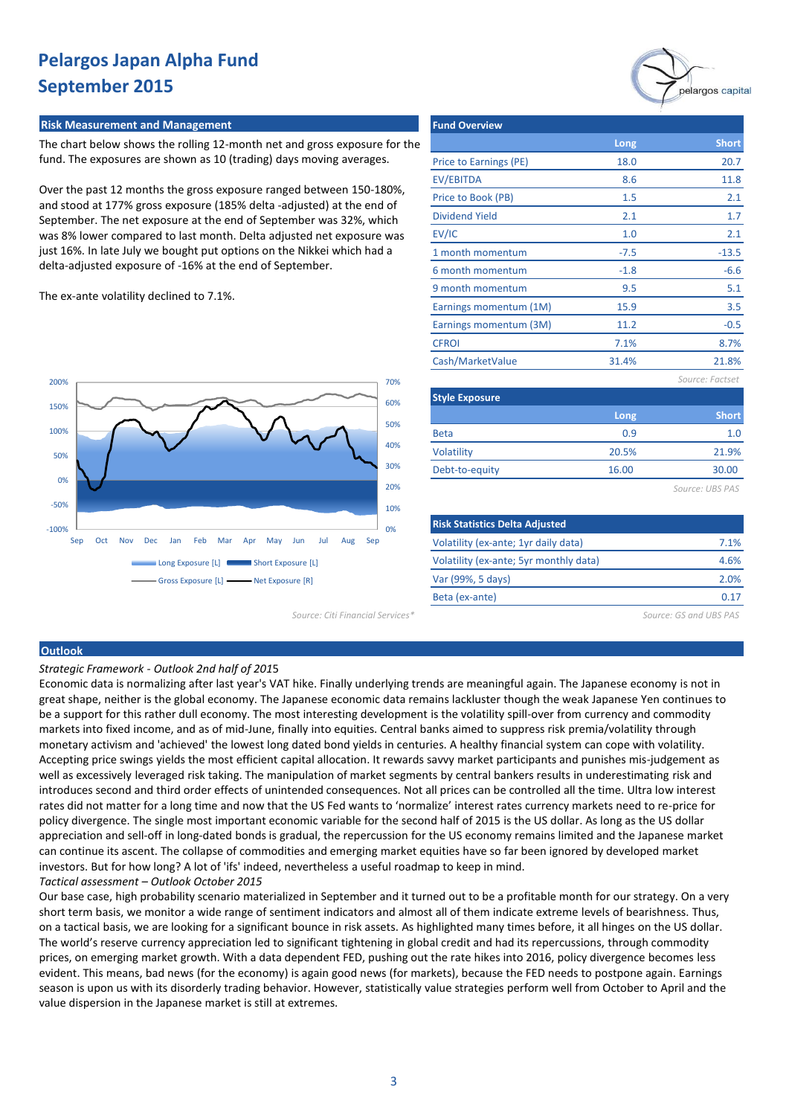#### **Risk Measurement and Management**

The chart below shows the rolling 12-month net and gross exposure for the fund. The exposures are shown as 10 (trading) days moving averages.

Over the past 12 months the gross exposure ranged between 150-180%, and stood at 177% gross exposure (185% delta -adjusted) at the end of September. The net exposure at the end of September was 32%, which was 8% lower compared to last month. Delta adjusted net exposure was just 16%. In late July we bought put options on the Nikkei which had a delta-adjusted exposure of -16% at the end of September.

| <b>Fund Overview</b>   |        |                 |
|------------------------|--------|-----------------|
|                        | Long   | <b>Short</b>    |
| Price to Earnings (PE) | 18.0   | 20.7            |
| EV/EBITDA              | 8.6    | 11.8            |
| Price to Book (PB)     | 1.5    | 2.1             |
| Dividend Yield         | 2.1    | 1.7             |
| EV/IC                  | 1.0    | 2.1             |
| 1 month momentum       | $-7.5$ | $-13.5$         |
| 6 month momentum       | $-1.8$ | $-6.6$          |
| 9 month momentum       | 9.5    | 5.1             |
| Earnings momentum (1M) | 15.9   | 3.5             |
| Earnings momentum (3M) | 11.2   | $-0.5$          |
| <b>CFROI</b>           | 7.1%   | 8.7%            |
| Cash/MarketValue       | 31.4%  | 21.8%           |
|                        |        | Source: Factset |
| <b>Style Exposure</b>  |        |                 |
|                        | Long   | <b>Short</b>    |
| <b>Beta</b>            | 0.9    | 1.0             |
| <b>Volatility</b>      | 20.5%  | 21.9%           |

The ex-ante volatility declined to 7.1%.



Debt-to-equity

*Source: UBS PAS*

30.00

largos capital

| <b>Risk Statistics Delta Adjusted</b>  |      |
|----------------------------------------|------|
| Volatility (ex-ante; 1yr daily data)   | 7.1% |
| Volatility (ex-ante; 5yr monthly data) | 4.6% |
| Var (99%, 5 days)                      | 2.0% |
| Beta (ex-ante)                         |      |
|                                        |      |

16.00

*Source: Citi Financial Services\* Source: GS and UBS PAS*

#### **Outlook**

*Strategic Framework - Outlook 2nd half of 201*5

Economic data is normalizing after last year's VAT hike. Finally underlying trends are meaningful again. The Japanese economy is not in great shape, neither is the global economy. The Japanese economic data remains lackluster though the weak Japanese Yen continues to be a support for this rather dull economy. The most interesting development is the volatility spill-over from currency and commodity markets into fixed income, and as of mid-June, finally into equities. Central banks aimed to suppress risk premia/volatility through monetary activism and 'achieved' the lowest long dated bond yields in centuries. A healthy financial system can cope with volatility. Accepting price swings yields the most efficient capital allocation. It rewards savvy market participants and punishes mis-judgement as well as excessively leveraged risk taking. The manipulation of market segments by central bankers results in underestimating risk and introduces second and third order effects of unintended consequences. Not all prices can be controlled all the time. Ultra low interest rates did not matter for a long time and now that the US Fed wants to 'normalize' interest rates currency markets need to re-price for policy divergence. The single most important economic variable for the second half of 2015 is the US dollar. As long as the US dollar appreciation and sell-off in long-dated bonds is gradual, the repercussion for the US economy remains limited and the Japanese market can continue its ascent. The collapse of commodities and emerging market equities have so far been ignored by developed market investors. But for how long? A lot of 'ifs' indeed, nevertheless a useful roadmap to keep in mind. *Tactical assessment – Outlook October 2015*

Our base case, high probability scenario materialized in September and it turned out to be a profitable month for our strategy. On a very short term basis, we monitor a wide range of sentiment indicators and almost all of them indicate extreme levels of bearishness. Thus, on a tactical basis, we are looking for a significant bounce in risk assets. As highlighted many times before, it all hinges on the US dollar. The world's reserve currency appreciation led to significant tightening in global credit and had its repercussions, through commodity prices, on emerging market growth. With a data dependent FED, pushing out the rate hikes into 2016, policy divergence becomes less evident. This means, bad news (for the economy) is again good news (for markets), because the FED needs to postpone again. Earnings season is upon us with its disorderly trading behavior. However, statistically value strategies perform well from October to April and the value dispersion in the Japanese market is still at extremes.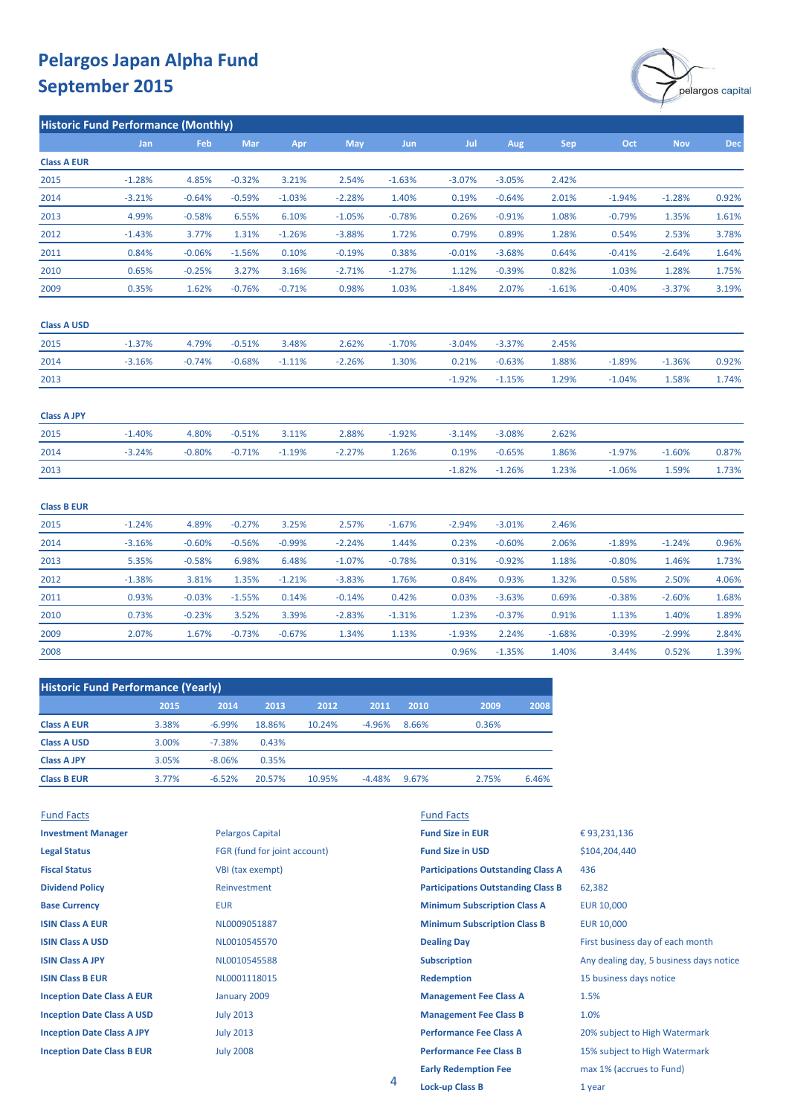

| <b>Historic Fund Performance (Monthly)</b> |          |          |          |          |          |            |          |          |            |          |            |       |
|--------------------------------------------|----------|----------|----------|----------|----------|------------|----------|----------|------------|----------|------------|-------|
|                                            | Jan      | Feb      | Mar      | Apr      | May      | <b>Jun</b> | Jul      | Aug      | <b>Sep</b> | Oct      | <b>Nov</b> | Dec   |
| <b>Class A EUR</b>                         |          |          |          |          |          |            |          |          |            |          |            |       |
| 2015                                       | $-1.28%$ | 4.85%    | $-0.32%$ | 3.21%    | 2.54%    | $-1.63%$   | $-3.07%$ | $-3.05%$ | 2.42%      |          |            |       |
| 2014                                       | $-3.21%$ | $-0.64%$ | $-0.59%$ | $-1.03%$ | $-2.28%$ | 1.40%      | 0.19%    | $-0.64%$ | 2.01%      | $-1.94%$ | $-1.28%$   | 0.92% |
| 2013                                       | 4.99%    | $-0.58%$ | 6.55%    | 6.10%    | $-1.05%$ | $-0.78%$   | 0.26%    | $-0.91%$ | 1.08%      | $-0.79%$ | 1.35%      | 1.61% |
| 2012                                       | $-1.43%$ | 3.77%    | 1.31%    | $-1.26%$ | $-3.88%$ | 1.72%      | 0.79%    | 0.89%    | 1.28%      | 0.54%    | 2.53%      | 3.78% |
| 2011                                       | 0.84%    | $-0.06%$ | $-1.56%$ | 0.10%    | $-0.19%$ | 0.38%      | $-0.01%$ | $-3.68%$ | 0.64%      | $-0.41%$ | $-2.64%$   | 1.64% |
| 2010                                       | 0.65%    | $-0.25%$ | 3.27%    | 3.16%    | $-2.71%$ | $-1.27%$   | 1.12%    | $-0.39%$ | 0.82%      | 1.03%    | 1.28%      | 1.75% |
| 2009                                       | 0.35%    | 1.62%    | $-0.76%$ | $-0.71%$ | 0.98%    | 1.03%      | $-1.84%$ | 2.07%    | $-1.61%$   | $-0.40%$ | $-3.37%$   | 3.19% |
| <b>Class A USD</b>                         |          |          |          |          |          |            |          |          |            |          |            |       |
| 2015                                       | $-1.37%$ | 4.79%    | $-0.51%$ | 3.48%    | 2.62%    | $-1.70%$   | $-3.04%$ | $-3.37%$ | 2.45%      |          |            |       |
| 2014                                       | $-3.16%$ | $-0.74%$ | $-0.68%$ | $-1.11%$ | $-2.26%$ | 1.30%      | 0.21%    | $-0.63%$ | 1.88%      | $-1.89%$ | $-1.36%$   | 0.92% |
| 2013                                       |          |          |          |          |          |            | $-1.92%$ | $-1.15%$ | 1.29%      | $-1.04%$ | 1.58%      | 1.74% |
| <b>Class A JPY</b>                         |          |          |          |          |          |            |          |          |            |          |            |       |
| 2015                                       | $-1.40%$ | 4.80%    | $-0.51%$ | 3.11%    | 2.88%    | $-1.92%$   | $-3.14%$ | $-3.08%$ | 2.62%      |          |            |       |
| 2014                                       | $-3.24%$ | $-0.80%$ | $-0.71%$ | $-1.19%$ | $-2.27%$ | 1.26%      | 0.19%    | $-0.65%$ | 1.86%      | $-1.97%$ | $-1.60%$   | 0.87% |
| 2013                                       |          |          |          |          |          |            | $-1.82%$ | $-1.26%$ | 1.23%      | $-1.06%$ | 1.59%      | 1.73% |
| <b>Class B EUR</b>                         |          |          |          |          |          |            |          |          |            |          |            |       |
| 2015                                       | $-1.24%$ | 4.89%    | $-0.27%$ | 3.25%    | 2.57%    | $-1.67%$   | $-2.94%$ | $-3.01%$ | 2.46%      |          |            |       |
| 2014                                       | $-3.16%$ | $-0.60%$ | $-0.56%$ | $-0.99%$ | $-2.24%$ | 1.44%      | 0.23%    | $-0.60%$ | 2.06%      | $-1.89%$ | $-1.24%$   | 0.96% |
| 2013                                       | 5.35%    | $-0.58%$ | 6.98%    | 6.48%    | $-1.07%$ | $-0.78%$   | 0.31%    | $-0.92%$ | 1.18%      | $-0.80%$ | 1.46%      | 1.73% |
| 2012                                       | $-1.38%$ | 3.81%    | 1.35%    | $-1.21%$ | $-3.83%$ | 1.76%      | 0.84%    | 0.93%    | 1.32%      | 0.58%    | 2.50%      | 4.06% |
| 2011                                       | 0.93%    | $-0.03%$ | $-1.55%$ | 0.14%    | $-0.14%$ | 0.42%      | 0.03%    | $-3.63%$ | 0.69%      | $-0.38%$ | $-2.60%$   | 1.68% |
| 2010                                       | 0.73%    | $-0.23%$ | 3.52%    | 3.39%    | $-2.83%$ | $-1.31%$   | 1.23%    | $-0.37%$ | 0.91%      | 1.13%    | 1.40%      | 1.89% |
| 2009                                       | 2.07%    | 1.67%    | $-0.73%$ | $-0.67%$ | 1.34%    | 1.13%      | $-1.93%$ | 2.24%    | $-1.68%$   | $-0.39%$ | $-2.99%$   | 2.84% |
| 2008                                       |          |          |          |          |          |            | 0.96%    | $-1.35%$ | 1.40%      | 3.44%    | 0.52%      | 1.39% |
|                                            |          |          |          |          |          |            |          |          |            |          |            |       |

| <b>Historic Fund Performance (Yearly)</b> |       |          |        |        |          |       |       |       |  |
|-------------------------------------------|-------|----------|--------|--------|----------|-------|-------|-------|--|
|                                           | 2015  | 2014     | 2013   | 2012   | 2011     | 2010  | 2009  | 2008  |  |
| <b>Class A EUR</b>                        | 3.38% | $-6.99%$ | 18.86% | 10.24% | $-4.96%$ | 8.66% | 0.36% |       |  |
| <b>Class A USD</b>                        | 3.00% | $-7.38%$ | 0.43%  |        |          |       |       |       |  |
| <b>Class A JPY</b>                        | 3.05% | $-8.06%$ | 0.35%  |        |          |       |       |       |  |
| <b>Class B EUR</b>                        | 3.77% | $-6.52%$ | 20.57% | 10.95% | $-4.48%$ | 9.67% | 2.75% | 6.46% |  |

| <b>Fund Facts</b>                 |                              | <b>Fund Facts</b>                         |                                         |
|-----------------------------------|------------------------------|-------------------------------------------|-----------------------------------------|
| <b>Investment Manager</b>         | <b>Pelargos Capital</b>      | <b>Fund Size in EUR</b>                   | €93,231,136                             |
| <b>Legal Status</b>               | FGR (fund for joint account) | <b>Fund Size in USD</b>                   | \$104,204,440                           |
| <b>Fiscal Status</b>              | VBI (tax exempt)             | <b>Participations Outstanding Class A</b> | 436                                     |
| <b>Dividend Policy</b>            | Reinvestment                 | <b>Participations Outstanding Class B</b> | 62,382                                  |
| <b>Base Currency</b>              | <b>EUR</b>                   | <b>Minimum Subscription Class A</b>       | <b>EUR 10,000</b>                       |
| <b>ISIN Class A EUR</b>           | NL0009051887                 | <b>Minimum Subscription Class B</b>       | <b>EUR 10,000</b>                       |
| <b>ISIN Class A USD</b>           | NL0010545570                 | <b>Dealing Day</b>                        | First business day of each month        |
| <b>ISIN Class A JPY</b>           | NL0010545588                 | <b>Subscription</b>                       | Any dealing day, 5 business days notice |
| <b>ISIN Class B EUR</b>           | NL0001118015                 | <b>Redemption</b>                         | 15 business days notice                 |
| <b>Inception Date Class A EUR</b> | January 2009                 | <b>Management Fee Class A</b>             | 1.5%                                    |
| <b>Inception Date Class A USD</b> | <b>July 2013</b>             | <b>Management Fee Class B</b>             | 1.0%                                    |
| <b>Inception Date Class A JPY</b> | <b>July 2013</b>             | <b>Performance Fee Class A</b>            | 20% subject to High Watermark           |
| <b>Inception Date Class B EUR</b> | <b>July 2008</b>             | <b>Performance Fee Class B</b>            | 15% subject to High Watermark           |
|                                   |                              | <b>Early Redemption Fee</b>               | max 1% (accrues to Fund)                |
|                                   | 4                            | Lock un Clocc R                           | $1$ your                                |

**Lock-up Class B** 1 year